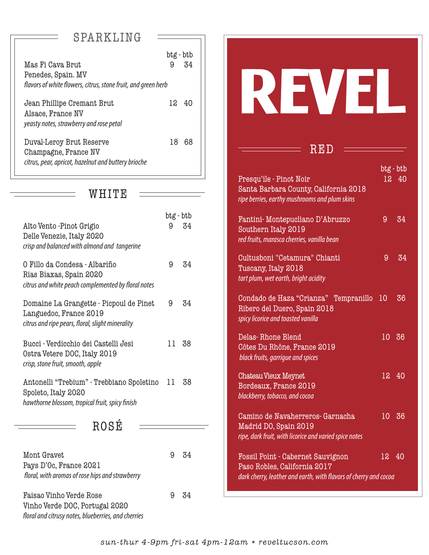# SPARKLING

|                                                               | btg - btb |    |  |
|---------------------------------------------------------------|-----------|----|--|
| Mas Fi Cava Brut                                              | 9         | 34 |  |
| Penedes, Spain. MV                                            |           |    |  |
| flavors of white flowers, citrus, stone fruit, and green herb |           |    |  |
| Jean Phillipe Cremant Brut                                    | 12        | 40 |  |
| Alsace, France NV                                             |           |    |  |
| yeasty notes, strawberry and rose petal                       |           |    |  |
| Duval-Leroy Brut Reserve                                      | 18        | 68 |  |
| Champagne, France NV                                          |           |    |  |
| citrus, pear, apricot, hazelnut and buttery brioche           |           |    |  |
|                                                               |           |    |  |

### WHITE

|                                                                                                                       | btg - btb |    |
|-----------------------------------------------------------------------------------------------------------------------|-----------|----|
| Alto Vento -Pinot Grigio<br>Delle Venezie, Italy 2020<br>crisp and balanced with almond and tangerine                 | 9         | 34 |
| O Fillo da Condesa - Albariño<br>Rias Biaxas, Spain 2020<br>citrus and white peach complemented by floral notes       | 9         | 34 |
| Domaine La Grangette - Picpoul de Pinet<br>Languedoc, France 2019<br>citrus and ripe pears, floral, slight minerality | 9         | 34 |
| Bucci - Verdicchio dei Castelli Jesi<br>Ostra Vetere DOC, Italy 2019<br>crisp, stone fruit, smooth, apple             | 11        | 38 |
| Antonelli "Trebium" - Trebbiano Spoletino<br>Spoleto, Italy 2020<br>hawthorne blossom, tropical fruit, spicy finish   | 11        | 38 |
| ROSÉ                                                                                                                  |           |    |
| Mont Gravet<br>Pays D'Oc, France 2021<br>floral, with aromas of rose hips and strawberry                              | 9         | 34 |
|                                                                                                                       |           |    |

Faisao Vinho Verde Rose 1918 1921 1934 Vinho Verde DOC, Portugal 2020 floral and citrusy notes, blueberries, and cherries

| RED                                                                                                                                   |           |       |
|---------------------------------------------------------------------------------------------------------------------------------------|-----------|-------|
| Presqu'ile - Pinot Noir<br>Santa Barbara County, California 2018<br>ripe berries, earthy mushrooms and plum skins                     | btg - btb | 12 40 |
| Fantini-Montepucliano D'Abruzzo<br>Southern Italy 2019<br>red fruits, marasca cherries, vanilla bean                                  | 9         | 34    |
| Cultusboni "Cetamura" Chianti<br>Tuscany, Italy 2018<br>tart plum, wet earth, bright acidity                                          | 9         | 34    |
| Condado de Haza "Crianza" Tempranillo<br>Ribero del Duero, Spain 2018<br>spicy licorice and toasted vanilla                           | 10        | 36    |
| Delas-Rhone Blend<br>Côtes Du Rhône, France 2019<br>black fruits, garrigue and spices                                                 | 10        | 36    |
| <b>Chateau Vieux Meynet</b><br>Bordeaux, France 2019<br>blackberry, tobacco, and cocoa                                                | $12-12$   | 40    |
| Camino de Navaherreros- Garnacha<br>Madrid DO, Spain 2019<br>ripe, dark fruit, with licorice and varied spice notes                   | 10        | 36    |
| Fossil Point - Cabernet Sauvignon<br>Paso Robles, California 2017<br>dark cherry, leather and earth, with flavors of cherry and cocoa | 12        | 40    |